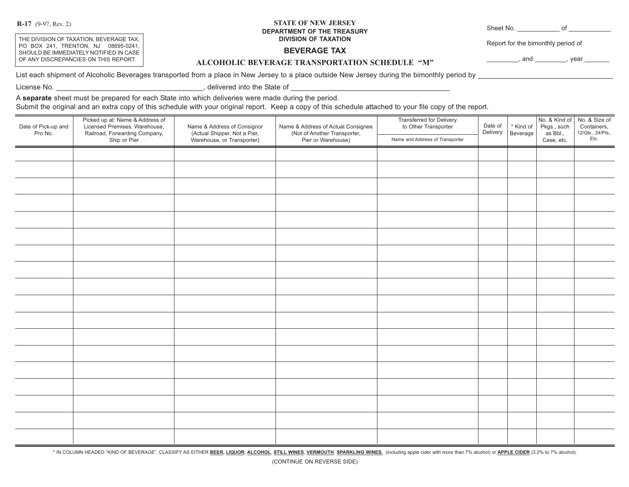**R-17** (9-97, Rev. 2)

THE DIVISION OF TAXATION, BEVERAGE TAX, PO BOX 241, TRENTON, NJ 08695-0241, SHOULD BE IMMEDIATELY NOTIFIED IN CASE OF ANY DISCREPANCIES ON THIS REPORT.

## **STATE OF NEW JERSEY DEPARTMENT OF THE TREASURY DIVISION OF TAXATION**

Sheet No. \_\_\_\_\_\_\_\_\_\_\_\_ of \_\_\_\_\_\_\_\_\_\_\_\_

Report for the bimonthly period of

**BEVERAGE TAX**

 $,$  and  $,$  year  $,$ 

**ALCOHOLIC BEVERAGE TRANSPORTATION SCHEDULE "M"**

List each shipment of Alcoholic Beverages transported from a place in New Jersey to a place outside New Jersey during the bimonthly period by

License No. \_\_\_\_\_\_\_\_\_\_\_\_\_\_\_\_\_\_\_\_\_\_\_\_\_\_\_\_\_\_\_\_\_\_\_\_\_, delivered into the State of \_\_\_\_\_\_\_\_\_\_\_\_\_\_\_\_\_\_\_\_\_\_\_\_\_\_\_\_\_\_\_\_\_\_\_\_\_\_\_\_

A **separate** sheet must be prepared for each State into which deliveries were made during the period.

Submit the original and an extra copy of this schedule with your original report. Keep a copy of this schedule attached to your file copy of the report.

| Date of Pick-up and<br>Pro No. | Picked up at: Name & Address of<br>Licensed Premises, Warehouse,<br>Railroad, Forwarding Company,<br>Ship or Pier | Name & Address of Consignor<br>(Actual Shipper, Not a Pier,<br>Warehouse, or Transporter) | Name & Address of Actual Consignee<br>(Not of Another Transporter,<br>Pier or Warehouse) | Transferred for Delivery<br>to Other Transporter<br>Name and Address of Transporter | Date of<br>Delivery | * Kind of<br>Beverage | Pkgs., such<br>as Bbl.,<br>Case, etc. | No. & Kind of No. & Size of<br>Containers,<br>12/Qts., 24/Pts.,<br>Etc. |
|--------------------------------|-------------------------------------------------------------------------------------------------------------------|-------------------------------------------------------------------------------------------|------------------------------------------------------------------------------------------|-------------------------------------------------------------------------------------|---------------------|-----------------------|---------------------------------------|-------------------------------------------------------------------------|
|                                |                                                                                                                   |                                                                                           |                                                                                          |                                                                                     |                     |                       |                                       |                                                                         |
|                                |                                                                                                                   |                                                                                           |                                                                                          |                                                                                     |                     |                       |                                       |                                                                         |
|                                |                                                                                                                   |                                                                                           |                                                                                          |                                                                                     |                     |                       |                                       |                                                                         |
|                                |                                                                                                                   |                                                                                           |                                                                                          |                                                                                     |                     |                       |                                       |                                                                         |
|                                |                                                                                                                   |                                                                                           |                                                                                          |                                                                                     |                     |                       |                                       |                                                                         |
|                                |                                                                                                                   |                                                                                           |                                                                                          |                                                                                     |                     |                       |                                       |                                                                         |
|                                |                                                                                                                   |                                                                                           |                                                                                          |                                                                                     |                     |                       |                                       |                                                                         |
|                                |                                                                                                                   |                                                                                           |                                                                                          |                                                                                     |                     |                       |                                       |                                                                         |
|                                |                                                                                                                   |                                                                                           |                                                                                          |                                                                                     |                     |                       |                                       |                                                                         |
|                                |                                                                                                                   |                                                                                           |                                                                                          |                                                                                     |                     |                       |                                       |                                                                         |
|                                |                                                                                                                   |                                                                                           |                                                                                          |                                                                                     |                     |                       |                                       |                                                                         |
|                                |                                                                                                                   |                                                                                           |                                                                                          |                                                                                     |                     |                       |                                       |                                                                         |
|                                |                                                                                                                   |                                                                                           |                                                                                          |                                                                                     |                     |                       |                                       |                                                                         |
|                                |                                                                                                                   |                                                                                           |                                                                                          |                                                                                     |                     |                       |                                       |                                                                         |
|                                |                                                                                                                   |                                                                                           |                                                                                          |                                                                                     |                     |                       |                                       |                                                                         |
|                                |                                                                                                                   |                                                                                           |                                                                                          |                                                                                     |                     |                       |                                       |                                                                         |
|                                |                                                                                                                   |                                                                                           |                                                                                          |                                                                                     |                     |                       |                                       |                                                                         |
|                                |                                                                                                                   |                                                                                           |                                                                                          |                                                                                     |                     |                       |                                       |                                                                         |

\* IN COLUMN HEADED "KIND OF BEVERAGE", CLASSIFY AS EITHER BEER, LIQUOR, ALCOHOL, STILL WINES, VERMOUTH, SPARKLING WINES. (including apple cider with more than 7% alcohol) or APPLE CIDER (3.2% to 7% alcohol).